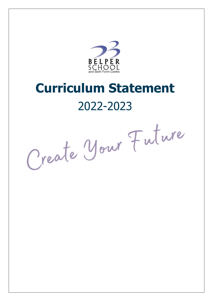

# **Curriculum Statement** 2022-2023

Create Your Future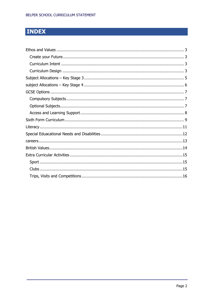# **INDEX**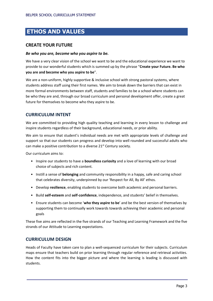# <span id="page-2-0"></span>**ETHOS AND VALUES**

### <span id="page-2-1"></span>**CREATE YOUR FUTURE**

### *Be who you are, become who you aspire to be.*

We have a very clear vision of the school we want to be and the educational experience we want to provide to our wonderful students which is summed up by the phrase "**Create your Future. Be who you are and become who you aspire to be**".

We are a non-uniform, highly supportive & inclusive school with strong pastoral systems, where students address staff using their first names. We aim to break down the barriers that can exist in more formal environments between staff, students and families to be a school where students can be who they are and, through our broad curriculum and personal development offer, create a great future for themselves to become who they aspire to be.

### <span id="page-2-2"></span>**CURRICULUM INTENT**

We are committed to providing high quality teaching and learning in every lesson to challenge and inspire students regardless of their background, educational needs, or prior ability.

We aim to ensure that student's individual needs are met with appropriate levels of challenge and support so that our students can progress and develop into well rounded and successful adults who can make a positive contribution to a diverse 21<sup>st</sup> Century society.

Our curriculum aims to:

- Inspire our students to have a **boundless curiosity** and a love of learning with our broad choice of subjects and rich content.
- Instill a sense of **belonging** and community responsibility in a happy, safe and caring school that celebrates diversity, underpinned by our 'Respect for All, By All' ethos.
- Develop **resilience**, enabling students to overcome both academic and personal barriers.
- Build **self-esteem** and **self**-**confidence**, independence, and students' belief in themselves.
- Ensure students can become '**who they aspire to be**' and be the best version of themselves by supporting them to continually work towards towards achieving their academic and personal goals

These five aims are reflected in the five strands of our Teaching and Learning Framework and the five strands of our Attitude to Learning expectations.

### <span id="page-2-3"></span>**CURRICULUM DESIGN**

Heads of Faculty have taken care to plan a well-sequenced curriculum for their subjects. Curriculum maps ensure that teachers build on prior learning through regular reference and retrieval activities. How the content fits into the bigger picture and where the learning is leading is discussed with students.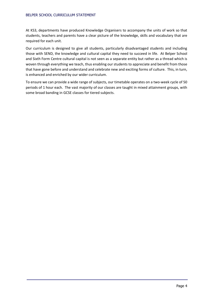#### BELPER SCHOOL CURRICULUM STATEMENT

At KS3, departments have produced Knowledge Organisers to accompany the units of work so that students, teachers and parents have a clear picture of the knowledge, skills and vocabulary that are required for each unit.

Our curriculum is designed to give all students, particularly disadvantaged students and including those with SEND, the knowledge and cultural capital they need to succeed in life. At Belper School and Sixth Form Centre cultural capital is not seen as a separate entity but rather as a thread which is woven through everything we teach, thus enabling our students to appreciate and benefit from those that have gone before and understand and celebrate new and exciting forms of culture. This, in turn, is enhanced and enriched by our wider curriculum.

To ensure we can provide a wide range of subjects, our timetable operates on a two-week cycle of 50 periods of 1 hour each. The vast majority of our classes are taught in mixed attainment groups, with some broad banding in GCSE classes for tiered subjects.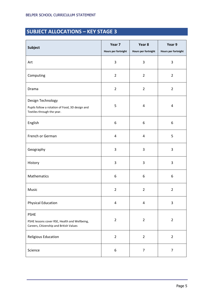# <span id="page-4-0"></span>**SUBJECT ALLOCATIONS – KEY STAGE 3**

| <b>Subject</b>                                                                                          | Year 7<br>Hours per fortnight | Year 8<br>Hours per fortnight | Year 9<br>Hours per fortnight |
|---------------------------------------------------------------------------------------------------------|-------------------------------|-------------------------------|-------------------------------|
| Art                                                                                                     | 3                             | 3                             | 3                             |
| Computing                                                                                               | $\overline{2}$                | $\overline{2}$                | $\overline{2}$                |
| Drama                                                                                                   | $\overline{2}$                | $\overline{2}$                | $\overline{2}$                |
| Design Technology<br>Pupils follow a rotation of Food, 3D design and<br>Textiles through the year.      | 5                             | 4                             | 4                             |
| English                                                                                                 | $\boldsymbol{6}$              | 6                             | 6                             |
| French or German                                                                                        | $\sqrt{4}$                    | $\overline{4}$                | 5                             |
| Geography                                                                                               | 3                             | 3                             | 3                             |
| History                                                                                                 | 3                             | 3                             | 3                             |
| Mathematics                                                                                             | 6                             | 6                             | 6                             |
| Music                                                                                                   | $\overline{2}$                | $\overline{2}$                | $\overline{2}$                |
| <b>Physical Education</b>                                                                               | $\overline{\mathbf{4}}$       | $\pmb{4}$                     | 3                             |
| <b>PSHE</b><br>PSHE lessons cover RSE, Health and Wellbeing,<br>Careers, Citizenship and British Values | $\overline{2}$                | $\overline{2}$                | $\overline{2}$                |
| Religious Education                                                                                     | $\overline{2}$                | $\overline{2}$                | $\overline{2}$                |
| Science                                                                                                 | $\boldsymbol{6}$              | $\overline{7}$                | $\overline{7}$                |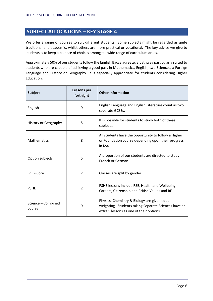# <span id="page-5-0"></span>**SUBJECT ALLOCATIONS – KEY STAGE 4**

We offer a range of courses to suit different students. Some subjects might be regarded as quite traditional and academic, whilst others are more practical or vocational. The key advice we give to students is to keep a balance of choices amongst a wide range of curriculum areas.

Approximately 50% of our students follow the English Baccalaureate, a pathway particularly suited to students who are capable of achieving a good pass in Mathematics, English, two Sciences, a Foreign Language and History or Geography. It is especially appropriate for students considering Higher Education.

| <b>Subject</b>               | Lessons per<br>fortnight | <b>Other information</b>                                                                                                                        |  |
|------------------------------|--------------------------|-------------------------------------------------------------------------------------------------------------------------------------------------|--|
| English                      | 9                        | English Language and English Literature count as two<br>separate GCSEs.                                                                         |  |
| History or Geography         | 5                        | It is possible for students to study both of these<br>subjects.                                                                                 |  |
| <b>Mathematics</b>           | 8                        | All students have the opportunity to follow a Higher<br>or Foundation course depending upon their progress<br>in KS4                            |  |
| Option subjects              | 5                        | A proportion of our students are directed to study<br>French or German.                                                                         |  |
| PE - Core                    | $\overline{2}$           | Classes are split by gender                                                                                                                     |  |
| <b>PSHE</b>                  | 2                        | PSHE lessons include RSE, Health and Wellbeing,<br>Careers, Citizenship and British Values and RE                                               |  |
| Science - Combined<br>course | 9                        | Physics, Chemistry & Biology are given equal<br>weighting. Students taking Separate Sciences have an<br>extra 5 lessons as one of their options |  |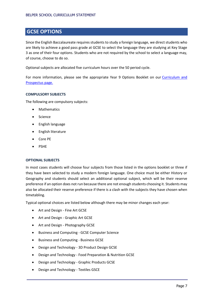# <span id="page-6-0"></span>**GCSE OPTIONS**

Since the English Baccalaureate requires students to study a foreign language, we direct students who are likely to achieve a good pass grade at GCSE to select the language they are studying at Key Stage 3 as one of their four options. Students who are not required by the school to select a language may, of course, choose to do so.

Optional subjects are allocated five curriculum hours over the 50 period cycle.

For more information, please see the appropriate Year 9 Options Booklet on our [Curriculum and](https://www.belperschool.co.uk/?page_id=164)  [Prospectus page.](https://www.belperschool.co.uk/?page_id=164)

### <span id="page-6-1"></span>**COMPULSORY SUBJECTS**

The following are compulsory subjects:

- **Mathematics**
- Science
- English language
- English literature
- Core PE
- **PSHE**

### <span id="page-6-2"></span>**OPTIONAL SUBJECTS**

In most cases students will choose four subjects from those listed in the options booklet or three if they have been selected to study a modern foreign language. One choice must be either History or Geography and students should select an additional optional subject, which will be their reserve preference if an option does not run because there are not enough students choosing it. Students may also be allocated their reserve preference if there is a clash with the subjects they have chosen when timetabling.

Typical optional choices are listed below although there may be minor changes each year:

- Art and Design Fine Art GCSE
- Art and Design Graphic Art GCSE
- Art and Design Photography GCSE
- Business and Computing GCSE Computer Science
- Business and Computing Business GCSE
- Design and Technology 3D Product Design GCSE
- Design and Technology Food Preparation & Nutrition GCSE
- Design and Technology Graphic Products GCSE
- Design and Technology Textiles GSCE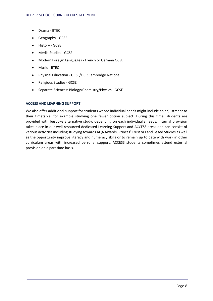- Drama BTEC
- Geography GCSE
- History GCSE
- Media Studies GCSE
- Modern Foreign Languages French or German GCSE
- Music BTEC
- Physical Education GCSE/OCR Cambridge National
- Religious Studies GCSE
- Separate Sciences: Biology/Chemistry/Physics GCSE

### <span id="page-7-0"></span>**ACCESS AND LEARNING SUPPORT**

We also offer additional support for students whose individual needs might include an adjustment to their timetable, for example studying one fewer option subject. During this time, students are provided with bespoke alternative study, depending on each individual's needs. Internal provision takes place in our well-resourced dedicated Learning Support and ACCESS areas and can consist of various activities including studying towards AQA Awards, Princes' Trust or Land Based Studies as well as the opportunity improve literacy and numeracy skills or to remain up to date with work in other curriculum areas with increased personal support. ACCESS students sometimes attend external provision on a part time basis.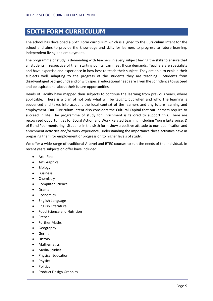# <span id="page-8-0"></span>**SIXTH FORM CURRICULUM**

The school has developed a Sixth Form curriculum which is aligned to the Curriculum Intent for the school and aims to provide the knowledge and skills for learners to progress to future learning, independent living and employment.

The programme of study is demanding with teachers in every subject having the skills to ensure that all students, irrespective of their starting points, can meet those demands. Teachers are specialists and have expertise and experience in how best to teach their subject. They are able to explain their subjects well, adapting to the progress of the students they are teaching. Students from disadvantaged backgrounds and or with special educational needs are given the confidence to succeed and be aspirational about their future opportunities.

Heads of Faculty have mapped their subjects to continue the learning from previous years, where applicable. There is a plan of not only what will be taught, but when and why. The learning is sequenced and takes into account the local context of the learners and any future learning and employment. Our Curriculum Intent also considers the Cultural Capital that our learners require to succeed in life. The programme of study for Enrichment is tailored to support this. There are recognised opportunities for Social Action and Work Related Learning including Young Enterprise, D of E and Peer mentoring. Students in the sixth form show a positive attitude to non-qualification and enrichment activities and/or work experience, understanding the importance these activities have in preparing them for employment or progression to higher levels of study.

We offer a wide range of traditional A-Level and BTEC courses to suit the needs of the individual. In recent years subjects on offer have included:

- Art Fine
- Art Graphics
- Biology
- Business
- Chemistry
- Computer Science
- Drama
- Economics
- English Language
- English Literature
- Food Science and Nutrition
- French
- Further Maths
- Geography
- German
- History
- Mathematics
- Media Studies
- Physical Education
- **Physics**
- Politics
- Product Design Graphics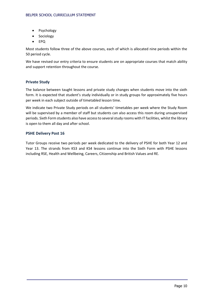- Psychology
- Sociology
- EPQ

Most students follow three of the above courses, each of which is allocated nine periods within the 50 period cycle.

We have revised our entry criteria to ensure students are on appropriate courses that match ability and support retention throughout the course.

### **Private Study**

The balance between taught lessons and private study changes when students move into the sixth form. It is expected that student's study individually or in study groups for approximately five hours per week in each subject outside of timetabled lesson time.

We indicate two Private Study periods on all students' timetables per week where the Study Room will be supervised by a member of staff but students can also access this room during unsupervised periods. Sixth Form students also have access to several study rooms with IT facilities, whilst the library is open to them all day and after school.

### **PSHE Delivery Post 16**

Tutor Groups receive two periods per week dedicated to the delivery of PSHE for both Year 12 and Year 13. The strands from KS3 and KS4 lessons continue into the Sixth Form with PSHE lessons including RSE, Health and Wellbeing, Careers, Citizenship and British Values and RE.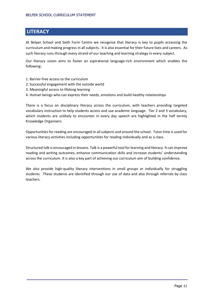# <span id="page-10-0"></span>**LITERACY**

At Belper School and Sixth Form Centre we recognise that literacy is key to pupils accessing the curriculum and making progress in all subjects. It is also essential for their future lives and careers. As such literacy runs through every strand of our teaching and learning strategy in every subject.

Our literacy vision aims to foster an aspirational language-rich environment which enables the following:

- 1. Barrier-free access to the curriculum
- 2. Successful engagement with the outside world
- 3. Meaningful access to lifelong learning
- 4. Human beings who can express their needs, emotions and build healthy relationships

There is a focus on disciplinary literacy across the curriculum, with teachers providing targeted vocabulary instruction to help students access and use academic language. Tier 2 and 3 vocabulary, which students are unlikely to encounter in every day speech are highlighted in the half termly Knowledge Organisers.

Opportunities for reading are encouraged in all subjects and around the school. Tutor time is used for various literacy activities including opportunities for reading individually and as a class.

Structured talk is encouraged in lessons. Talk is a powerful tool for learning and literacy. It can improve reading and writing outcomes, enhance communication skills and increase students' understanding across the curriculum. It is also a key part of achieving our curriculum aim of building confidence.

We also provide high-quality literacy interventions in small groups or individually for struggling students. These students are identified through our use of data and also through referrals by class teachers.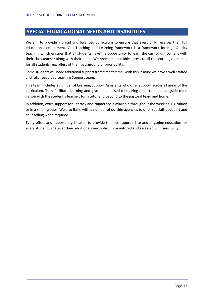## <span id="page-11-0"></span>**SPECIAL EDUACATIONAL NEEDS AND DISABILITIES**

We aim to provide a broad and balanced curriculum to ensure that every child receives their full educational entitlement. Our Teaching and Learning framework is a framework for High-Quality teaching which ensures that all students have the opportunity to learn the curriculum content with their class teacher along with their peers. We promote equitable access to all the learning outcomes for all students regardless of their background or prior ability.

Some students will need additional support from time to time. With this in mind we have a well-staffed and fully resourced Learning Support team.

This team includes a number of Learning Support Assistants who offer support across all areas of the curriculum. They facilitate learning and give personalised mentoring opportunities alongside close liaison with the student's teacher, form tutor and beyond to the pastoral team and home.

In addition, extra support for Literacy and Numeracy is available throughout the week as 1-1 tuition or in a small groups. We also liaise with a number of outside agencies to offer specialist support and counselling when required.

Every effort and opportunity is taken to provide the most appropriate and engaging education for every student, whatever their additional need, which is monitored and assessed with sensitivity.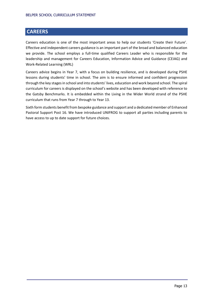# <span id="page-12-0"></span>**CAREERS**

Careers education is one of the most important areas to help our students 'Create their Future'. Effective and independent careers guidance is an important part of the broad and balanced education we provide. The school employs a full-time qualified Careers Leader who is responsible for the leadership and management for Careers Education, Information Advice and Guidance (CEIAG) and Work-Related Learning (WRL)

Careers advice begins in Year 7, with a focus on building resilience, and is developed during PSHE lessons during students' time in school. The aim is to ensure informed and confident progression through the key stages in school and into students' lives, education and work beyond school. The spiral curriculum for careers is displayed on the school's website and has been developed with reference to the Gatsby Benchmarks. It is embedded within the Living in the Wider World strand of the PSHE curriculum that runs from Year 7 through to Year 13.

Sixth form students benefit from bespoke guidance and support and a dedicated member of Enhanced Pastoral Support Post 16. We have introduced UNIFROG to support all parties including parents to have access to up to date support for future choices.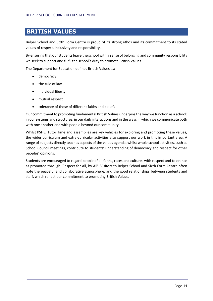# <span id="page-13-0"></span>**BRITISH VALUES**

Belper School and Sixth Form Centre is proud of its strong ethos and its commitment to its stated values of respect, inclusivity and responsibility.

By ensuring that our students leave the school with a sense of belonging and community responsibility we seek to support and fulfil the school's duty to promote British Values.

The Department for Education defines British Values as:

- democracy
- the rule of law
- individual liberty
- mutual respect
- tolerance of those of different faiths and beliefs

Our commitment to promoting fundamental British Values underpins the way we function as a school: in our systems and structures, in our daily interactions and in the ways in which we communicate both with one another and with people beyond our community.

Whilst PSHE, Tutor Time and assemblies are key vehicles for exploring and promoting these values, the wider curriculum and extra-curricular activities also support our work in this important area. A range of subjects directly teaches aspects of the values agenda, whilst whole school activities, such as School Council meetings, contribute to students' understanding of democracy and respect for other peoples' opinions.

Students are encouraged to regard people of all faiths, races and cultures with respect and tolerance as promoted through 'Respect for All, by All'. Visitors to Belper School and Sixth Form Centre often note the peaceful and collaborative atmosphere, and the good relationships between students and staff, which reflect our commitment to promoting British Values.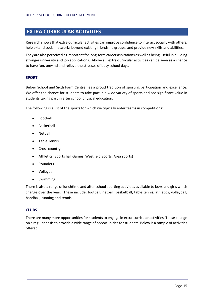# <span id="page-14-0"></span>**EXTRA CURRICULAR ACTIVITIES**

Research shows that extra-curricular activities can improve confidence to interact socially with others, help extend social networks beyond existing friendship groups, and provide new skills and abilities.

They are also perceived as important for long-term career aspirations as well as being useful in building stronger university and job applications. Above all, extra-curricular activities can be seen as a chance to have fun, unwind and relieve the stresses of busy school days.

### <span id="page-14-1"></span>**SPORT**

Belper School and Sixth Form Centre has a proud tradition of sporting participation and excellence. We offer the chance for students to take part in a wide variety of sports and see significant value in students taking part in after school physical education.

The following is a list of the sports for which we typically enter teams in competitions:

- Football
- Basketball
- **Netball**
- Table Tennis
- Cross country
- Athletics (Sports hall Games, Westfield Sports, Area sports)
- Rounders
- Volleyball
- Swimming

There is also a range of lunchtime and after school sporting activities available to boys and girls which change over the year. These include: football, netball, basketball, table tennis, athletics, volleyball, handball, running and tennis.

### <span id="page-14-2"></span>**CLUBS**

There are many more opportunities for students to engage in extra-curricular activities. These change on a regular basis to provide a wide range of opportunities for students. Below is a sample of activities offered: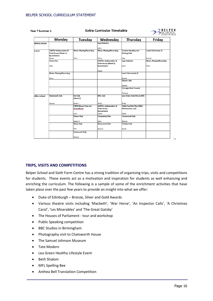Year 7 Summer 1

| ear 7 Summer 1       |                                 | <b>Extra-Curricular Timetable</b> |                                 |                              | <b>BELPER</b><br>SCHOOL         |
|----------------------|---------------------------------|-----------------------------------|---------------------------------|------------------------------|---------------------------------|
|                      | Monday                          | Tuesday                           | Wednesday                       | Thursday                     | Friday                          |
| <b>Before school</b> |                                 |                                   | <b>Lego Robotics</b>            |                              |                                 |
|                      |                                 |                                   |                                 |                              |                                 |
|                      |                                 |                                   | John                            |                              |                                 |
| Lunch                | LGBTQ+ Ambassadors &            | <b>Music: Playing/Recording</b>   | <b>Music: Playing/Recording</b> | <b>Creative Reading and</b>  | Lunch Club (week 2)             |
|                      | Pride Group (Week 1)            |                                   |                                 | <b>Writing Club</b>          |                                 |
|                      | <b>By invitation</b><br>Karen   | Chris                             | Chris                           | Lisa                         | Emma                            |
|                      | <b>Chess Club</b>               |                                   | LGBTQ+ Ambassadors &            | <b>Lego Robotics</b>         | <b>Music: Playing/Recording</b> |
|                      |                                 |                                   | Pride Group (Week 2)            |                              |                                 |
|                      | John                            |                                   | By invitation                   | John                         | Chris                           |
|                      |                                 |                                   |                                 |                              |                                 |
|                      |                                 |                                   | Karen                           |                              |                                 |
|                      | <b>Music: Playing/Recording</b> |                                   |                                 | Lunch Club (week 1)          |                                 |
|                      |                                 |                                   |                                 |                              |                                 |
|                      | Chris                           |                                   |                                 | Emma                         |                                 |
|                      |                                 |                                   |                                 | <b>Games Club</b>            |                                 |
|                      |                                 |                                   |                                 | Steven                       |                                 |
|                      |                                 |                                   |                                 | <b>Carnegie Book Awards</b>  |                                 |
|                      |                                 |                                   |                                 |                              |                                 |
|                      |                                 |                                   |                                 | Tamara                       |                                 |
| After school         | <b>Homework Club</b>            | <b>Art Club</b>                   | <b>MFL Club</b>                 | Live Action Role Play (LARP) |                                 |
|                      |                                 | (Week 1)                          |                                 |                              |                                 |
|                      |                                 |                                   |                                 |                              |                                 |
|                      | Sharon                          | Sarah L                           | Emily                           | Mike                         |                                 |
|                      |                                 | STEM Mouse Trap car/              | LGBTQ+ Ambassadors &            | Table Top Role Play (D&D,    |                                 |
|                      |                                 | StrandBeest                       | <b>Pride Group</b>              | Warhammer, etc)              |                                 |
|                      |                                 |                                   | By invitation                   |                              |                                 |
|                      |                                 | John                              | Karen                           | Mike                         |                                 |
|                      |                                 | Drama Club                        | <b>Computing Club</b>           | <b>Homework Club</b>         |                                 |
|                      |                                 | Sarah H                           | John                            | Sharon                       |                                 |
|                      |                                 | <b>Music Club</b>                 | <b>Homework Club</b>            | <b>Textiles Club</b>         |                                 |
|                      |                                 |                                   |                                 |                              |                                 |
|                      |                                 | Phil                              | Sharon                          | Sarah                        |                                 |
|                      |                                 | <b>Homework Club</b>              |                                 |                              |                                 |
|                      |                                 |                                   |                                 |                              |                                 |
|                      |                                 | Sharon                            |                                 |                              |                                 |

### <span id="page-15-0"></span>**TRIPS, VISITS AND COMPETITIONS**

Belper School and Sixth Form Centre has a strong tradition of organising trips, visits and competitions for students. These events act as a motivation and inspiration for students as well enhancing and enriching the curriculum. The following is a sample of some of the enrichment activities that have taken place over the past few years to provide an insight into what we offer:

- Duke of Edinburgh Bronze, Silver and Gold Awards
- Various theatre visits including 'Macbeth', 'War Horse', 'An Inspector Calls', 'A Christmas Carol', 'Les Miserables' and 'The Great Gatsby'
- The Houses of Parliament tour and workshop
- Public Speaking competition
- BBC Studios in Birmingham
- Photography visit to Chatsworth House
- The Samuel Johnson Museum
- Tate Modern
- Lea Green Healthy Lifestyle Event
- Beth Shalom
- MFL Spelling Bee
- Anthea Bell Translation Competition